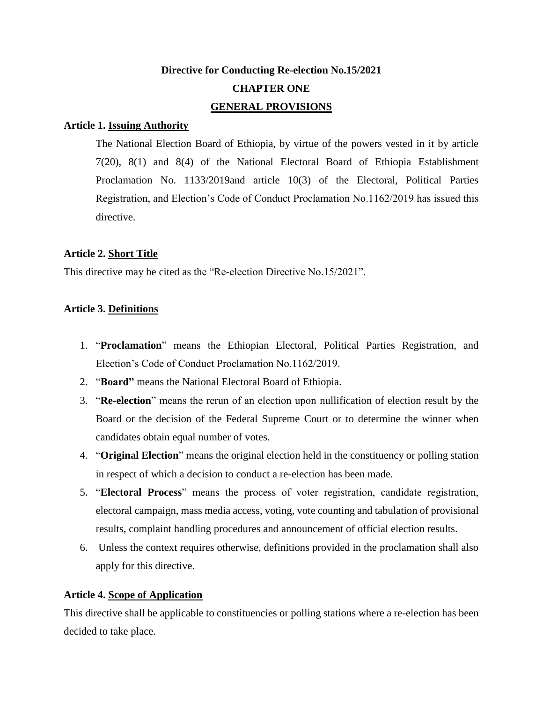# **Directive for Conducting Re-election No.15/2021 CHAPTER ONE GENERAL PROVISIONS**

### **Article 1. Issuing Authority**

The National Election Board of Ethiopia, by virtue of the powers vested in it by article 7(20), 8(1) and 8(4) of the National Electoral Board of Ethiopia Establishment Proclamation No. 1133/2019and article 10(3) of the Electoral, Political Parties Registration, and Election's Code of Conduct Proclamation No.1162/2019 has issued this directive.

### **Article 2. Short Title**

This directive may be cited as the "Re-election Directive No.15/2021".

### **Article 3. Definitions**

- 1. "**Proclamation**" means the Ethiopian Electoral, Political Parties Registration, and Election's Code of Conduct Proclamation No.1162/2019.
- 2. "**Board"** means the National Electoral Board of Ethiopia.
- 3. "**Re-election**" means the rerun of an election upon nullification of election result by the Board or the decision of the Federal Supreme Court or to determine the winner when candidates obtain equal number of votes.
- 4. "**Original Election**" means the original election held in the constituency or polling station in respect of which a decision to conduct a re-election has been made.
- 5. "**Electoral Process**" means the process of voter registration, candidate registration, electoral campaign, mass media access, voting, vote counting and tabulation of provisional results, complaint handling procedures and announcement of official election results.
- 6. Unless the context requires otherwise, definitions provided in the proclamation shall also apply for this directive.

### **Article 4. Scope of Application**

This directive shall be applicable to constituencies or polling stations where a re-election has been decided to take place.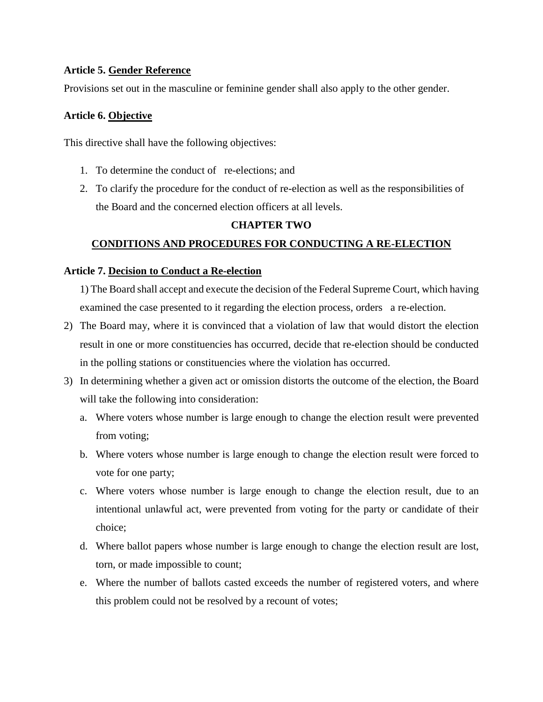### **Article 5. Gender Reference**

Provisions set out in the masculine or feminine gender shall also apply to the other gender.

### **Article 6. Objective**

This directive shall have the following objectives:

- 1. To determine the conduct of re-elections; and
- 2. To clarify the procedure for the conduct of re-election as well as the responsibilities of the Board and the concerned election officers at all levels.

### **CHAPTER TWO**

### **CONDITIONS AND PROCEDURES FOR CONDUCTING A RE-ELECTION**

### **Article 7. Decision to Conduct a Re-election**

1) The Board shall accept and execute the decision of the Federal Supreme Court, which having examined the case presented to it regarding the election process, orders a re-election.

- 2) The Board may, where it is convinced that a violation of law that would distort the election result in one or more constituencies has occurred, decide that re-election should be conducted in the polling stations or constituencies where the violation has occurred.
- 3) In determining whether a given act or omission distorts the outcome of the election, the Board will take the following into consideration:
	- a. Where voters whose number is large enough to change the election result were prevented from voting;
	- b. Where voters whose number is large enough to change the election result were forced to vote for one party;
	- c. Where voters whose number is large enough to change the election result, due to an intentional unlawful act, were prevented from voting for the party or candidate of their choice;
	- d. Where ballot papers whose number is large enough to change the election result are lost, torn, or made impossible to count;
	- e. Where the number of ballots casted exceeds the number of registered voters, and where this problem could not be resolved by a recount of votes;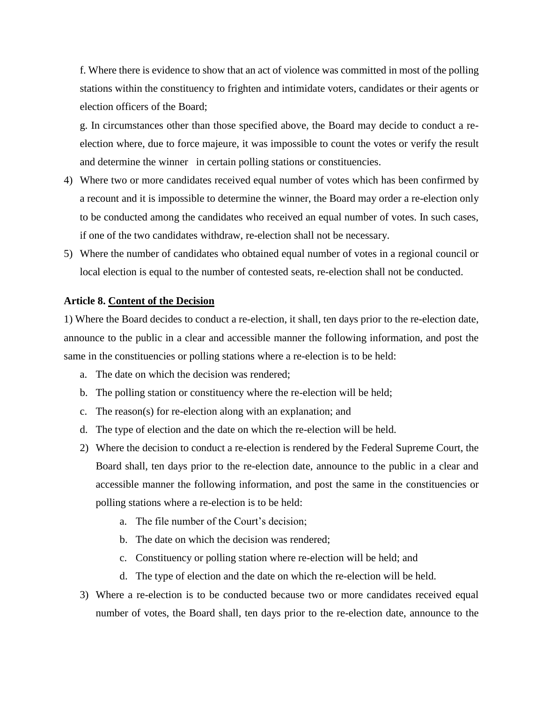f. Where there is evidence to show that an act of violence was committed in most of the polling stations within the constituency to frighten and intimidate voters, candidates or their agents or election officers of the Board;

g. In circumstances other than those specified above, the Board may decide to conduct a reelection where, due to force majeure, it was impossible to count the votes or verify the result and determine the winner in certain polling stations or constituencies.

- 4) Where two or more candidates received equal number of votes which has been confirmed by a recount and it is impossible to determine the winner, the Board may order a re-election only to be conducted among the candidates who received an equal number of votes. In such cases, if one of the two candidates withdraw, re-election shall not be necessary.
- 5) Where the number of candidates who obtained equal number of votes in a regional council or local election is equal to the number of contested seats, re-election shall not be conducted.

#### **Article 8. Content of the Decision**

1) Where the Board decides to conduct a re-election, it shall, ten days prior to the re-election date, announce to the public in a clear and accessible manner the following information, and post the same in the constituencies or polling stations where a re-election is to be held:

- a. The date on which the decision was rendered;
- b. The polling station or constituency where the re-election will be held;
- c. The reason(s) for re-election along with an explanation; and
- d. The type of election and the date on which the re-election will be held.
- 2) Where the decision to conduct a re-election is rendered by the Federal Supreme Court, the Board shall, ten days prior to the re-election date, announce to the public in a clear and accessible manner the following information, and post the same in the constituencies or polling stations where a re-election is to be held:
	- a. The file number of the Court's decision;
	- b. The date on which the decision was rendered;
	- c. Constituency or polling station where re-election will be held; and
	- d. The type of election and the date on which the re-election will be held.
- 3) Where a re-election is to be conducted because two or more candidates received equal number of votes, the Board shall, ten days prior to the re-election date, announce to the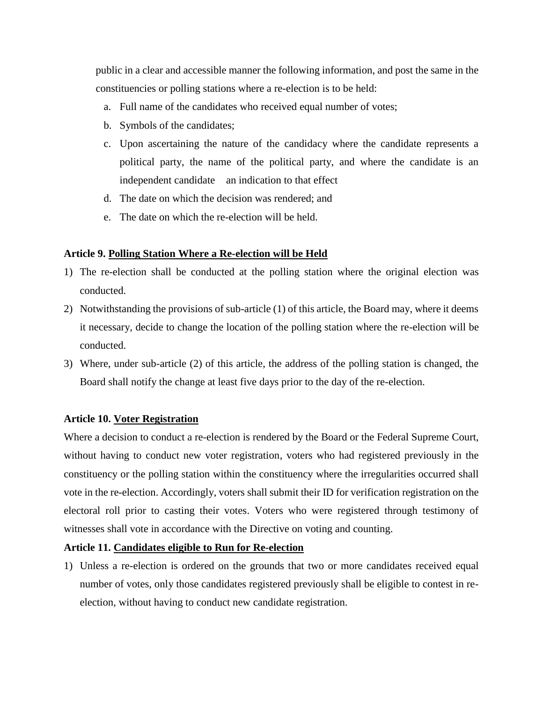public in a clear and accessible manner the following information, and post the same in the constituencies or polling stations where a re-election is to be held:

- a. Full name of the candidates who received equal number of votes;
- b. Symbols of the candidates;
- c. Upon ascertaining the nature of the candidacy where the candidate represents a political party, the name of the political party, and where the candidate is an independent candidate an indication to that effect
- d. The date on which the decision was rendered; and
- e. The date on which the re-election will be held.

### **Article 9. Polling Station Where a Re-election will be Held**

- 1) The re-election shall be conducted at the polling station where the original election was conducted.
- 2) Notwithstanding the provisions of sub-article (1) of this article, the Board may, where it deems it necessary, decide to change the location of the polling station where the re-election will be conducted.
- 3) Where, under sub-article (2) of this article, the address of the polling station is changed, the Board shall notify the change at least five days prior to the day of the re-election.

### **Article 10. Voter Registration**

Where a decision to conduct a re-election is rendered by the Board or the Federal Supreme Court, without having to conduct new voter registration, voters who had registered previously in the constituency or the polling station within the constituency where the irregularities occurred shall vote in the re-election. Accordingly, voters shall submit their ID for verification registration on the electoral roll prior to casting their votes. Voters who were registered through testimony of witnesses shall vote in accordance with the Directive on voting and counting.

### **Article 11. Candidates eligible to Run for Re-election**

1) Unless a re-election is ordered on the grounds that two or more candidates received equal number of votes, only those candidates registered previously shall be eligible to contest in reelection, without having to conduct new candidate registration.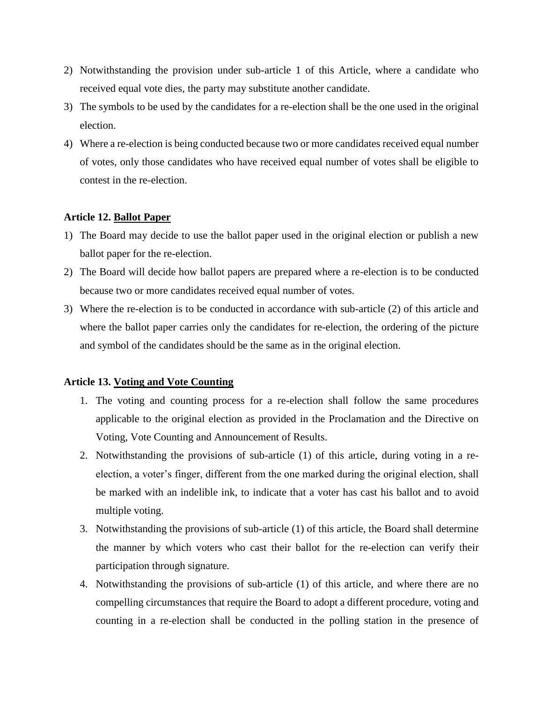- 2) Notwithstanding the provision under sub-article 1 of this Article, where a candidate who received equal vote dies, the party may substitute another candidate.
- 3) The symbols to be used by the candidates for a re-election shall be the one used in the original election.
- 4) Where a re-election is being conducted because two or more candidates received equal number of votes, only those candidates who have received equal number of votes shall be eligible to contest in the re-election.

### **Article 12. Ballot Paper**

- 1) The Board may decide to use the ballot paper used in the original election or publish a new ballot paper for the re-election.
- 2) The Board will decide how ballot papers are prepared where a re-election is to be conducted because two or more candidates received equal number of votes.
- 3) Where the re-election is to be conducted in accordance with sub-article (2) of this article and where the ballot paper carries only the candidates for re-election, the ordering of the picture and symbol of the candidates should be the same as in the original election.

### **Article 13. Voting and Vote Counting**

- 1. The voting and counting process for a re-election shall follow the same procedures applicable to the original election as provided in the Proclamation and the Directive on Voting, Vote Counting and Announcement of Results.
- 2. Notwithstanding the provisions of sub-article (1) of this article, during voting in a reelection, a voter's finger, different from the one marked during the original election, shall be marked with an indelible ink, to indicate that a voter has cast his ballot and to avoid multiple voting.
- 3. Notwithstanding the provisions of sub-article (1) of this article, the Board shall determine the manner by which voters who cast their ballot for the re-election can verify their participation through signature.
- 4. Notwithstanding the provisions of sub-article (1) of this article, and where there are no compelling circumstances that require the Board to adopt a different procedure, voting and counting in a re-election shall be conducted in the polling station in the presence of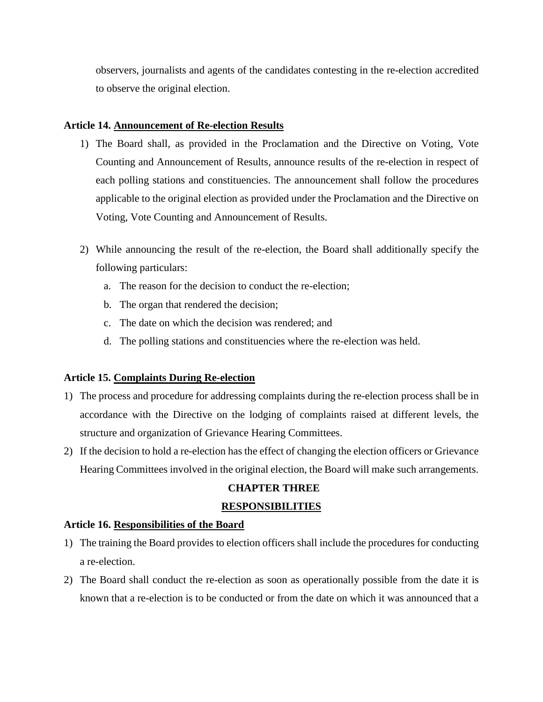observers, journalists and agents of the candidates contesting in the re-election accredited to observe the original election.

### **Article 14. Announcement of Re-election Results**

- 1) The Board shall, as provided in the Proclamation and the Directive on Voting, Vote Counting and Announcement of Results, announce results of the re-election in respect of each polling stations and constituencies. The announcement shall follow the procedures applicable to the original election as provided under the Proclamation and the Directive on Voting, Vote Counting and Announcement of Results.
- 2) While announcing the result of the re-election, the Board shall additionally specify the following particulars:
	- a. The reason for the decision to conduct the re-election;
	- b. The organ that rendered the decision;
	- c. The date on which the decision was rendered; and
	- d. The polling stations and constituencies where the re-election was held.

### **Article 15. Complaints During Re-election**

- 1) The process and procedure for addressing complaints during the re-election process shall be in accordance with the Directive on the lodging of complaints raised at different levels, the structure and organization of Grievance Hearing Committees.
- 2) If the decision to hold a re-election has the effect of changing the election officers or Grievance Hearing Committees involved in the original election, the Board will make such arrangements.

### **CHAPTER THREE**

### **RESPONSIBILITIES**

### **Article 16. Responsibilities of the Board**

- 1) The training the Board provides to election officers shall include the procedures for conducting a re-election.
- 2) The Board shall conduct the re-election as soon as operationally possible from the date it is known that a re-election is to be conducted or from the date on which it was announced that a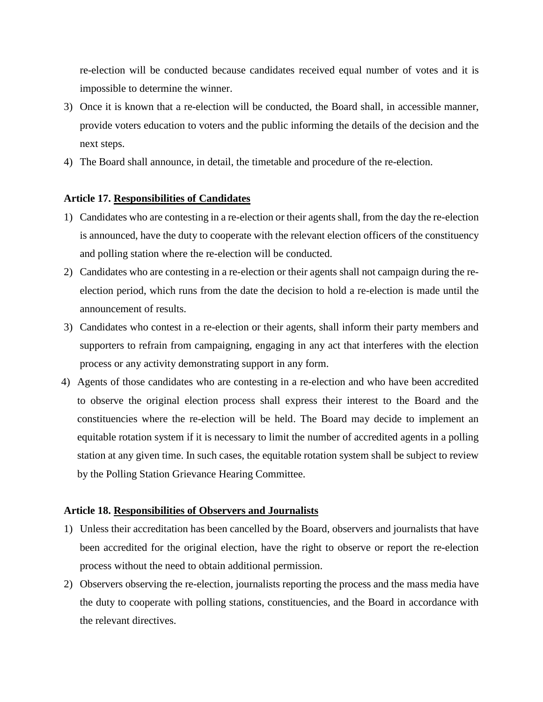re-election will be conducted because candidates received equal number of votes and it is impossible to determine the winner.

- 3) Once it is known that a re-election will be conducted, the Board shall, in accessible manner, provide voters education to voters and the public informing the details of the decision and the next steps.
- 4) The Board shall announce, in detail, the timetable and procedure of the re-election.

#### **Article 17. Responsibilities of Candidates**

- 1) Candidates who are contesting in a re-election or their agents shall, from the day the re-election is announced, have the duty to cooperate with the relevant election officers of the constituency and polling station where the re-election will be conducted.
- 2) Candidates who are contesting in a re-election or their agents shall not campaign during the reelection period, which runs from the date the decision to hold a re-election is made until the announcement of results.
- 3) Candidates who contest in a re-election or their agents, shall inform their party members and supporters to refrain from campaigning, engaging in any act that interferes with the election process or any activity demonstrating support in any form.
- 4) Agents of those candidates who are contesting in a re-election and who have been accredited to observe the original election process shall express their interest to the Board and the constituencies where the re-election will be held. The Board may decide to implement an equitable rotation system if it is necessary to limit the number of accredited agents in a polling station at any given time. In such cases, the equitable rotation system shall be subject to review by the Polling Station Grievance Hearing Committee.

#### **Article 18. Responsibilities of Observers and Journalists**

- 1) Unless their accreditation has been cancelled by the Board, observers and journalists that have been accredited for the original election, have the right to observe or report the re-election process without the need to obtain additional permission.
- 2) Observers observing the re-election, journalists reporting the process and the mass media have the duty to cooperate with polling stations, constituencies, and the Board in accordance with the relevant directives.